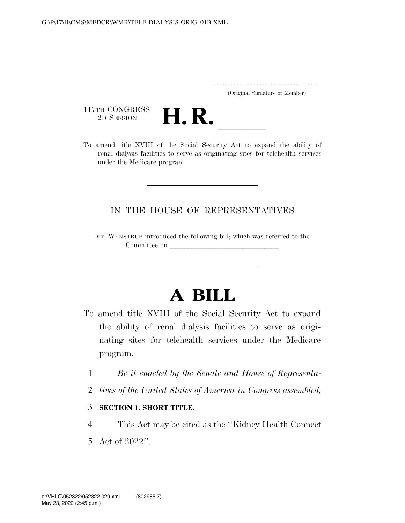|  | (Original Signature of Member) |  |
|--|--------------------------------|--|

117TH CONGRESS<br>2D SESSION



117TH CONGRESS<br>
2D SESSION<br>
To amend title XVIII of the Social Security Act to expand the ability of renal dialysis facilities to serve as originating sites for telehealth services under the Medicare program.

## IN THE HOUSE OF REPRESENTATIVES

Mr. WENSTRUP introduced the following bill; which was referred to the Committee on

## **A BILL**

- To amend title XVIII of the Social Security Act to expand the ability of renal dialysis facilities to serve as originating sites for telehealth services under the Medicare program.
	- 1 *Be it enacted by the Senate and House of Representa-*
	- 2 *tives of the United States of America in Congress assembled,*
	- 3 **SECTION 1. SHORT TITLE.**
	- 4 This Act may be cited as the ''Kidney Health Connect
	- 5 Act of 2022''.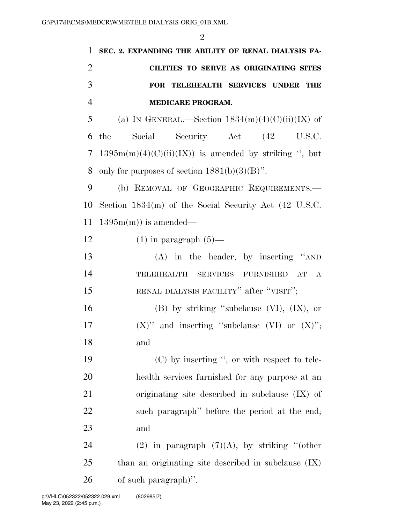| 1              | SEC. 2. EXPANDING THE ABILITY OF RENAL DIALYSIS FA-     |
|----------------|---------------------------------------------------------|
| $\overline{c}$ | CILITIES TO SERVE AS ORIGINATING SITES                  |
| 3              | FOR TELEHEALTH SERVICES UNDER THE                       |
| $\overline{4}$ | MEDICARE PROGRAM.                                       |
| 5              | (a) IN GENERAL.—Section $1834(m)(4)(C)(ii)(IX)$ of      |
| 6              | the<br>Social<br>Security Act (42 U.S.C.                |
| 7              | $1395m(m)(4)(C)(ii)(IX)$ is amended by striking ", but  |
| 8              | only for purposes of section $1881(b)(3)(B)$ ".         |
| 9              | (b) REMOVAL OF GEOGRAPHIC REQUIREMENTS.                 |
| 10             | Section $1834(m)$ of the Social Security Act (42 U.S.C. |
| 11             | $1395m(m)$ is amended—                                  |
| 12             | $(1)$ in paragraph $(5)$ —                              |
| 13             | $(A)$ in the header, by inserting "AND                  |
| 14             | TELEHEALTH SERVICES FURNISHED AT A                      |
| 15             | RENAL DIALYSIS FACILITY" after "VISIT";                 |
| 16             | $(B)$ by striking "subclause $(VI)$ , $(IX)$ , or       |
| 17             | $(X)$ " and inserting "subclause $(VI)$ or $(X)$ ";     |
| 18             | and                                                     |
| 19             | $(C)$ by inserting ", or with respect to tele-          |
| 20             | health services furnished for any purpose at an         |
| 21             | originating site described in subclause $(IX)$ of       |
| 22             | such paragraph" before the period at the end;           |
| 23             | and                                                     |
| 24             | (2) in paragraph $(7)(A)$ , by striking "(other         |
| 25             | than an originating site described in subclause $(IX)$  |
| 26             | of such paragraph)".                                    |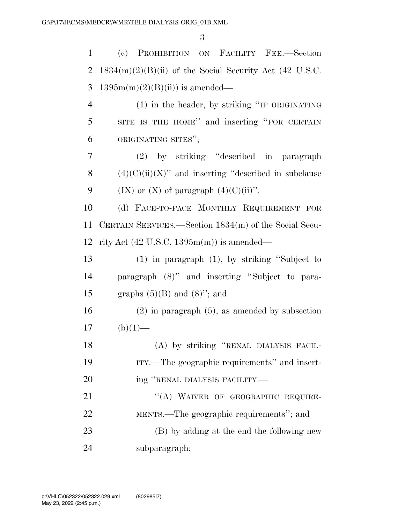(c) PROHIBITION ON FACILITY FEE.—Section 2 1834 $(m)(2)(B)$ (ii) of the Social Security Act (42 U.S.C. 3 1395m(m)(2)(B)(ii)) is amended— (1) in the header, by striking ''IF ORIGINATING SITE IS THE HOME'' and inserting ''FOR CERTAIN ORIGINATING SITES''; (2) by striking ''described in paragraph  $(4)(C)(ii)(X)$  and inserting "described in subclause 9 (IX) or (X) of paragraph  $(4)(C)(ii)$ ". (d) FACE-TO-FACE MONTHLY REQUIREMENT FOR CERTAIN SERVICES.—Section 1834(m) of the Social Secu- rity Act (42 U.S.C. 1395m(m)) is amended— (1) in paragraph (1), by striking ''Subject to paragraph (8)'' and inserting ''Subject to para-15 graphs  $(5)(B)$  and  $(8)$ "; and (2) in paragraph (5), as amended by subsection (b)(1)— (A) by striking ''RENAL DIALYSIS FACIL- ITY.—The geographic requirements'' and insert-20 ing "RENAL DIALYSIS FACILITY.— 21 "(A) WAIVER OF GEOGRAPHIC REQUIRE- MENTS.—The geographic requirements''; and (B) by adding at the end the following new subparagraph: